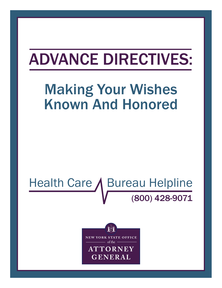# ADVANCE DIRECTIVES:

## Making Your Wishes Known And Honored

## Health Care / Bureau Helpline (800) 428-9071



**October 2013**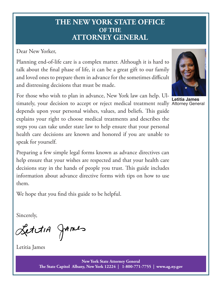## **THE NEW YORK STATE OFFICE OF THE ATTORNEY GENERAL**

Dear New Yorker,

Planning end-of-life care is a complex matter. Although it is hard to talk about the final phase of life, it can be a great gift to our family and loved ones to prepare them in advance for the sometimes difficult and distressing decisions that must be made.

For those who wish to plan in advance, New York law can help. Ultimately, your decision to accept or reject medical treatment really Attorney Generaldepends upon your personal wishes, values, and beliefs. This guide explains your right to choose medical treatments and describes the steps you can take under state law to help ensure that your personal health care decisions are known and honored if you are unable to speak for yourself.

Preparing a few simple legal forms known as advance directives can help ensure that your wishes are respected and that your health care decisions stay in the hands of people you trust. This guide includes information about advance directive forms with tips on how to use them.

We hope that you find this guide to be helpful.

Sincerely,

LettiA James

Letitia James



**Letitia James**

**New York State Attorney General The State Capitol Albany, New York 12224 | 1-800-771-7755 | www.ag.ny.gov**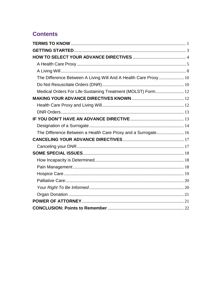### **Contents**

| The Difference Between A Living Will And A Health Care Proxy 10 |  |
|-----------------------------------------------------------------|--|
|                                                                 |  |
| Medical Orders For Life-Sustaining Treatment (MOLST) Form 12    |  |
|                                                                 |  |
|                                                                 |  |
|                                                                 |  |
|                                                                 |  |
|                                                                 |  |
| The Difference Between a Health Care Proxy and a Surrogate 16   |  |
|                                                                 |  |
|                                                                 |  |
|                                                                 |  |
|                                                                 |  |
|                                                                 |  |
|                                                                 |  |
|                                                                 |  |
|                                                                 |  |
|                                                                 |  |
|                                                                 |  |
|                                                                 |  |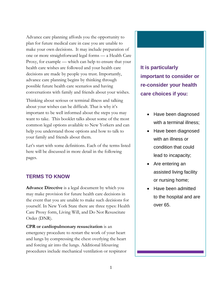Advance care planning affords you the opportunity to plan for future medical care in case you are unable to make your own decisions. It may include preparation of one or more straightforward legal forms — a Health Care Proxy, for example — which can help to ensure that your health care wishes are followed and your health care decisions are made by people you trust. Importantly, advance care planning begins by thinking through possible future health care scenarios and having conversations with family and friends about your wishes.

Thinking about serious or terminal illness and talking about your wishes can be difficult. That is why it's important to be well informed about the steps you may want to take. This booklet talks about some of the most common legal options available to New Yorkers and can help you understand those options and how to talk to your family and friends about them.

Let's start with some definitions. Each of the terms listed here will be discussed in more detail in the following pages.

#### <span id="page-3-0"></span>**TERMS TO KNOW**

**Advance Directive** is a legal document by which you may make provision for future health care decisions in the event that you are unable to make such decisions for yourself. In New York State there are three types: Health Care Proxy form, Living Will, and Do Not Resuscitate Order (DNR).

**CPR or cardiopulmonary resuscitation** is an emergency procedure to restart the work of your heart and lungs by compressing the chest overlying the heart and forcing air into the lungs. Additional lifesaving procedures include mechanical ventilation or respirator **It is particularly important to consider or re-consider your health care choices if you:**

- Have been diagnosed with a terminal illness;
- Have been diagnosed with an illness or condition that could lead to incapacity;
- Are entering an assisted living facility or nursing home;
- Have been admitted to the hospital and are over 65.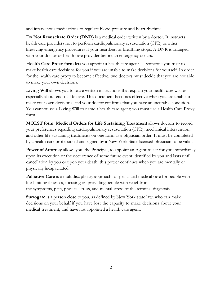and intravenous medications to regulate blood pressure and heart rhythms.

**Do Not Resuscitate Order (DNR)** is a medical order written by a doctor. It instructs health care providers not to perform cardiopulmonary resuscitation (CPR) or other lifesaving emergency procedures if your heartbeat or breathing stops. A DNR is arranged with your doctor or health care provider before an emergency occurs.

**Health Care Proxy form** lets you appoint a health care agent — someone you trust to make health care decisions for you if you are unable to make decisions for yourself. In order for the health care proxy to become effective, two doctors must decide that you are not able to make your own decisions.

Living Will allows you to leave written instructions that explain your health care wishes, especially about end-of-life care. This document becomes effective when you are unable to make your own decisions, and your doctor confirms that you have an incurable condition. You cannot use a Living Will to name a health care agent; you must use a Health Care Proxy form.

**MOLST form: Medical Orders for Life Sustaining Treatment** allows doctors to record your preferences regarding cardiopulmonary resuscitation (CPR), mechanical intervention, and other life sustaining treatments on one form as a physician order. It must be completed by a health care professional and signed by a New York State licensed physician to be valid.

**Power of Attorney** allows you, the Principal, to appoint an Agent to act for you immediately upon its execution or the occurrence of some future event identified by you and lasts until cancellation by you or upon your death; this power continues when you are mentally or physically incapacitated.

**Palliative Care** is a multidisciplinary approach to specialized medical care for people with life-limiting illnesses, focusing on providing people with relief from the symptoms, pain, physical stress, and mental stress of the terminal diagnosis.

**Surrogate** is a person close to you, as defined by New York state law, who can make decisions on your behalf if you have lost the capacity to make decisions about your medical treatment, and have not appointed a health care agent.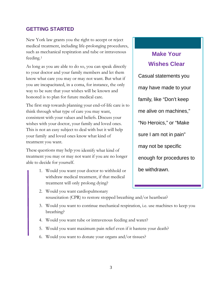#### <span id="page-5-0"></span>**GETTING STARTED**

New York law grants you the right to accept or reject medical treatment, including life-prolonging procedures, such as mechanical respiration and tube or intravenous feeding.[1](#page-25-0)

As long as you are able to do so, you can speak directly to your doctor and your family members and let them know what care you may or may not want. But what if you are incapacitated, in a coma, for instance, the only way to be sure that your wishes will be known and honored is to plan for future medical care.

The first step towards planning your end-of-life care is to think through what type of care you may want, consistent with your values and beliefs. Discuss your wishes with your doctor, your family and loved ones. This is not an easy subject to deal with but it will help your family and loved ones know what kind of treatment you want.

These questions may help you identify what kind of treatment you may or may not want if you are no longer able to decide for yourself.

- 1. Would you want your doctor to withhold or withdraw medical treatment, if that medical treatment will only prolong dying?
- 2. Would you want cardiopulmonary resuscitation (CPR) to restore stopped breathing and/or heartbeat?
- 3. Would you want to continue mechanical respiration, i.e. use machines to keep you breathing?
- 4. Would you want tube or intravenous feeding and water?
- 5. Would you want maximum pain relief even if it hastens your death?
- 6. Would you want to donate your organs and/or tissues?

## **Make Your Wishes Clear**

Casual statements you may have made to your family, like "Don't keep me alive on machines," "No Heroics," or "Make sure I am not in pain" may not be specific enough for procedures to be withdrawn.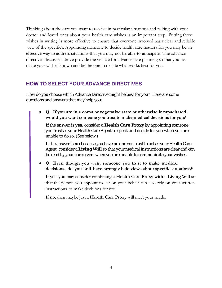Thinking about the care you want to receive in particular situations and talking with your doctor and loved ones about your health care wishes is an important step. Putting those wishes in writing is more effective to ensure that everyone involved has a clear and reliable view of the specifics. Appointing someone to decide health care matters for you may be an effective way to address situations that you may not be able to anticipate. The advance directives discussed above provide the vehicle for advance care planning so that you can make your wishes known and be the one to decide what works best for you.

#### <span id="page-6-0"></span>**HOW TO SELECT YOUR ADVANCE DIRECTIVES**

How do you choose which Advance Directive might be best for you? Here are some questions and answers that may help you:

• **Q. If you are in a coma or vegetative state or otherwise incapacitated, would you want someone you trust to make medical decisions for you?**

If the answer is **yes**, consider a **Health Care Proxy** by appointing someone you trust as your Health Care Agent to speak and decide for you when you are unable to do so. (See below.)

If the answer is **no** because you have no one you trust to act as your Health Care Agent, consider a **Living Will** so that your medical instructions are clear and can be read by your care givers when you are unable to communicate your wishes.

• **Q. Even though you want someone you trust to make medical decisions, do you still have strongly held views about specific situations?**

If **yes**, you may consider combining **a Health Care Proxy with a Living Will** so that the person you appoint to act on your behalf can also rely on your written instructions to make decisions for you.

If **no**, then maybe just a **Health Care Proxy** will meet your needs.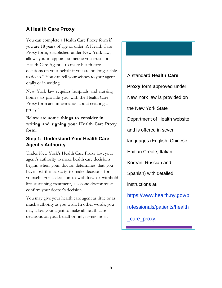#### <span id="page-7-0"></span>**A Health Care Proxy**

You can complete a Health Care Proxy form if you are 18 years of age or older. A Health Care Proxy form, established under New York law, allows you to appoint someone you trust—a Health Care Agent—to make health care decisions on your behalf if you are no longer able to do so.[2](#page-25-1) You can tell your wishes to your agent orally or in writing.

New York law requires hospitals and nursing homes to provide you with the Health Care Proxy form and information about creating a proxy.[3](#page-25-2)

**Below are some things to consider in writing and signing your Health Care Proxy form.**

#### **Step 1: Understand Your Health Care Agent's Authority**

Under New York's Health Care Proxy law, your agent's authority to make health care decisions begins when your doctor determines that you have lost the capacity to make decisions for yourself. For a decision to withdraw or withhold life sustaining treatment, a second doctor must confirm your doctor's decision.

You may give your health care agent as little or as much authority as you wish. In other words, you may allow your agent to make all health care decisions on your behalf or only certain ones.

A standard **Health Care Proxy** form approved under New York law is provided on the New York State Department of Health website and is offered in seven languages (English, Chinese, Haitian Creole, Italian, Korean, Russian and Spanish) with detailed instructions at: [https://www.health.ny.gov/p](https://www.health.ny.gov/professionals/patients/health_care_proxy) [rofessionals/patients/health](https://www.health.ny.gov/professionals/patients/health_care_proxy) [\\_care\\_proxy.](https://www.health.ny.gov/professionals/patients/health_care_proxy)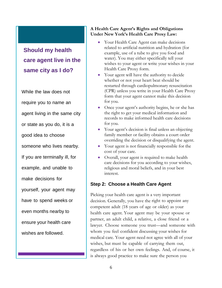## **Should my health care agent live in the same city as I do?**

While the law does not require you to name an agent living in the same city or state as you do, it is a good idea to choose someone who lives nearby. If you are terminally ill, for example, and unable to make decisions for yourself, your agent may have to spend weeks or even months nearby to ensure your health care wishes are followed.

#### **A Health Care Agent's Rights and Obligations Under New York's Health Care Proxy Law:**

- Your Health Care Agent can make decisions related to artificial nutrition and hydration (for example, use of a tube to give you food and water). You may either specifically tell your wishes to your agent or write your wishes in your Health Care Proxy form.
- Your agent will have the authority to decide whether or not your heart beat should be restarted through cardiopulmonary resuscitation (CPR) unless you write in your Health Care Proxy form that your agent cannot make this decision for you.
- Once your agent's authority begins, he or she has the right to get your medical information and records to make informed health care decisions for you.
- Your agent's decision is final unless an objecting family member or facility obtains a court order overriding the decision or disqualifying the agent.
- Your agent is not financially responsible for the cost of your care.
- Overall, your agent is required to make health care decisions for you according to your wishes, religious and moral beliefs, and in your best interest.

#### **Step 2: Choose a Health Care Agent**

Picking your health care agent is a very important decision. Generally, you have the right to appoint any competent adult (18 years of age or older) as your health care agent. Your agent may be your spouse or partner, an adult child, a relative, a close friend or a lawyer. Choose someone you trust—and someone with whom you feel confident discussing your wishes for medical care. Your agent need not agree with all of your wishes, but must be capable of carrying them out, regardless of his or her own feelings. And, of course, it is always good practice to make sure the person you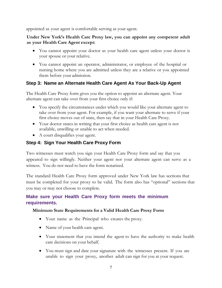appointed as your agent is comfortable serving as your agent.

#### **Under New York's Health Care Proxy law, you can appoint any competent adult as your Health Care Agent except:**

- You cannot appoint your doctor as your health care agent unless your doctor is your spouse or your relative.
- You cannot appoint an operator, administrator, or employee of the hospital or nursing home where you are admitted unless they are a relative or you appointed them before your admission.

#### **Step 3: Name an Alternate Health Care Agent As Your Back-Up Agent**

The Health Care Proxy form gives you the option to appoint an alternate agent. Your alternate agent can take over from your first choice only if:

- You specify the circumstances under which you would like your alternate agent to take over from your agent. For example, if you want your alternate to serve if your first choice moves out of state, then say that in your Health Care Proxy.
- Your doctor states in writing that your first choice as health care agent is not available, unwilling or unable to act when needed.
- A court disqualifies your agent.

#### **Step 4: Sign Your Health Care Proxy Form**

Two witnesses must watch you sign your Health Care Proxy form and say that you appeared to sign willingly. Neither your agent nor your alternate agent can serve as a witness. You do not need to have the form notarized.

The standard Health Care Proxy form approved under New York law has sections that must be completed for your proxy to be valid. The form also has "optional" sections that you may or may not choose to complete.

#### **Make sure your Health Care Proxy form meets the minimum requirements.**

#### **Minimum State Requirements for a Valid Health Care Proxy Form**

- Your name as the Principal who creates the proxy.
- Name of your health care agent.
- Your statement that you intend the agent to have the authority to make health care decisions on your behalf.
- You must sign and date your signature with the witnesses present. If you are unable to sign your proxy, another adult can sign for you at your request.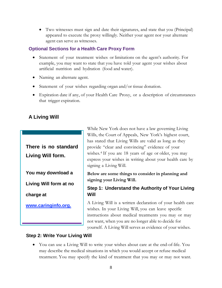• Two witnesses must sign and date their signatures, and state that you (Principal) appeared to execute the proxy willingly. Neither your agent nor your alternate agent can serve as witnesses.

#### **Optional Sections for a Health Care Proxy Form**

- Statement of your treatment wishes or limitations on the agent's authority. For example, you may want to state that you have told your agent your wishes about artificial nutrition and hydration (food and water).
- Naming an alternate agent.
- Statement of your wishes regarding organ and/or tissue donation.
- Expiration date if any, of your Health Care Proxy, or a description of circumstances that trigger expiration.

#### <span id="page-10-0"></span>**A Living Will**

**There is no standard Living Will form.**

**You may download a**

**Living Will form at no**

**charge at**

**[www.caringinfo.org.](http://www.caringinfo.org/)**

While New York does not have a law governing Living Wills, the Court of Appeals, New York's highest court, has stated that Living Wills are valid as long as they provide "clear and convincing" evidence of your wishes.[4](#page-25-3) If you are 18 years of age or older, you may express your wishes in writing about your health care by signing a Living Will.

**Below are some things to consider in planning and signing your Living Will.**

#### **Step 1: Understand the Authority of Your Living Will**

A Living Will is a written declaration of your health care wishes. In your Living Will, you can leave specific instructions about medical treatments you may or may not want, when you are no longer able to decide for yourself. A Living Will serves as evidence of your wishes.

#### **Step 2: Write Your Living Will**

• You can use a Living Will to write your wishes about care at the end-of-life. You may describe the medical situations in which you would accept or refuse medical treatment. You may specify the kind of treatment that you may or may not want.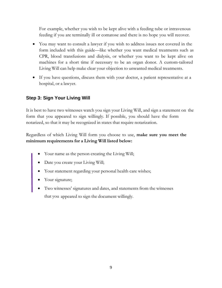For example, whether you wish to be kept alive with a feeding tube or intravenous feeding if you are terminally ill or comatose and there is no hope you will recover.

- You may want to consult a lawyer if you wish to address issues not covered in the form included with this guide—like whether you want medical treatments such as CPR, blood transfusions and dialysis, or whether you want to be kept alive on machines for a short time if necessary to be an organ donor. A custom-tailored Living Will can help make clear your objection to unwanted medical treatments.
- If you have questions, discuss them with your doctor, a patient representative at a hospital, or a lawyer.

#### **Step 3: Sign Your Living Will**

It is best to have two witnesses watch you sign your Living Will, and sign a statement on the form that you appeared to sign willingly. If possible, you should have the form notarized, so that it may be recognized in states that require notarization.

Regardless of which Living Will form you choose to use, **make sure you meet the minimum requirements for a Living Will listed below:**

- Your name as the person creating the Living Will;
- Date you create your Living Will;
- Your statement regarding your personal health care wishes;
- Your signature;
- Two witnesses' signatures and dates, and statements from the witnesses that you appeared to sign the document willingly.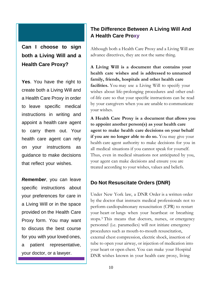### **Can I choose to sign both a Living Will and a Health Care Proxy?**

**Yes**. You have the right to create both a Living Will and a Health Care Proxy in order to leave specific medical instructions in writing and appoint a health care agent to carry them out. Your health care agent can rely on your instructions as guidance to make decisions that reflect your wishes.

*Remember*, you can leave specific instructions about your preferences for care in a Living Will or in the space provided on the Health Care Proxy form. You may want to discuss the best course for you with your loved ones, a patient representative, your doctor, or a lawyer.

#### <span id="page-12-0"></span>**The Difference Between A Living Will And A Health Care Proxy**

Although both a Health Care Proxy and a Living Will are advance directives, they are not the same thing.

**A Living Will is a document that contains your health care wishes and is addressed to unnamed family, friends, hospitals and other health care facilities.** You may use a Living Will to specify your wishes about life-prolonging procedures and other endof-life care so that your specific instructions can be read by your caregivers when you are unable to communicate your wishes.

**A Health Care Proxy is a document that allows you to appoint another person(s) as your health care agent to make health care decisions on your behalf if you are no longer able to do so.** You may give your health care agent authority to make decisions for you in all medical situations if you cannot speak for yourself. Thus, even in medical situations not anticipated by you, your agent can make decisions and ensure you are treated according to your wishes, values and beliefs.

#### <span id="page-12-1"></span>**Do Not Resuscitate Orders (DNR)**

Under New York law, a DNR Order is a written order by the doctor that instructs medical professionals not to perform cardiopulmonary resuscitation (CPR) to restart your heart or lungs when your heartbeat or breathing stops.[5](#page-25-4) This means that doctors, nurses, or emergency personnel (i.e. paramedics) will not initiate emergency procedures such as mouth-to-mouth resuscitation, external chest compression, electric shock, insertion of tube to open your airway, or injection of medication into your heart or open chest. You can make your Hospital DNR wishes known in your health care proxy, living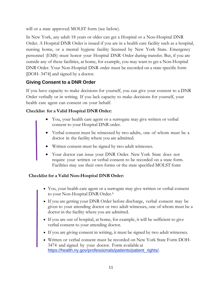will or a state approved MOLST form (see below).

In New York, any adult 18 years or older can get a Hospital or a Non-Hospital DNR Order. A Hospital DNR Order is issued if you are in a health care facility such as a hospital, nursing home, or a mental hygiene facility licensed by New York State. Emergency personnel (EMS) must honor your Hospital DNR Order during transfer. But, if you are outside any of these facilities, at home, for example, you may want to get a Non-Hospital DNR Order. Your Non-Hospital DNR order must be recorded on a state specific form [DOH- 3474] and signed by a doctor.

#### **Giving Consent to a DNR Order**

If you have capacity to make decisions for yourself, you can give your consent to a DNR Order verbally or in writing. If you lack capacity to make decisions for yourself, your health care agent can consent on your behalf.

#### **Checklist for a Valid Hospital DNR Order:**

- You, your health care agent or a surrogate may give written or verbal consent to your Hospital DNR order.
- Verbal consent must be witnessed by two adults, one of whom must be a doctor in the facility where you are admitted.
- Written consent must be signed by two adult witnesses.
- Your doctor can issue your DNR Order. New York State does not require your written or verbal consent to be recorded on a state form. Facilities may use their own forms or the state specified MOLST form

#### **Checklist for a Valid Non-Hospital DNR Order:**

- You, your health care agent or a surrogate may give written or verbal consent to your Non-Hospital DNR Order.<sup>[6](#page-25-5)</sup>
- If you are getting your DNR Order before discharge, verbal consent may be given to your attending doctor or two adult witnesses, one of whom must be a doctor in the facility where you are admitted.
- If you are out of hospital, at home, for example, it will be sufficient to give verbal consent to your attending doctor.
- If you are giving consent in writing, it must be signed by two adult witnesses.
- <span id="page-13-0"></span>• Written or verbal consent must be recorded on New York State Form DOH-3474 and signed by your doctor. Form available at [https://health.ny.gov/professionals/patients/patient\\_rights/.](http://www.health.state.ny.us/)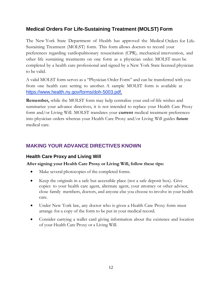#### **Medical Orders For Life-Sustaining Treatment (MOLST) Form**

The New York State Department of Health has approved the Medical Orders for Life-Sustaining Treatment (MOLST) form. This form allows doctors to record your preferences regarding cardiopulmonary resuscitation (CPR), mechanical intervention, and other life sustaining treatments on one form as a physician order. MOLST must be completed by a health care professional and signed by a New York State licensed physician to be valid.

A valid MOLST form serves as a "Physician Order Form" and can be transferred with you from one health care setting to another. A sample MOLST form is available at [https://www.health.ny.gov/forms/doh-5003.pdf.](https://www.health.ny.gov/forms/doh-5003.pdf)

**Remember,** while the MOLST form may help centralize your end-of-life wishes and summarize your advance directives, it is not intended to replace your Health Care Proxy form and/or Living Will. MOLST translates your **current** medical treatment preferences into physician orders whereas your Health Care Proxy and/or Living Will guides **future** medical care.

#### <span id="page-14-0"></span>**MAKING YOUR ADVANCE DIRECTIVES KNOWN**

#### <span id="page-14-1"></span>**Health Care Proxy and Living Will**

#### **After signing your Health Care Proxy or Living Will, follow these tips:**

- Make several photocopies of the completed forms.
- Keep the originals in a safe but accessible place (not a safe deposit box). Give copies to your health care agent, alternate agent, your attorney or other advisor, close family members, doctors, and anyone else you choose to involve in your health care.
- Under New York law, any doctor who is given a Health Care Proxy form must arrange for a copy of the form to be put in your medical record.
- Consider carrying a wallet card giving information about the existence and location of your Health Care Proxy or a Living Will.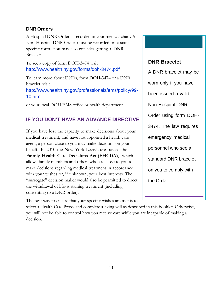#### <span id="page-15-0"></span>**DNR Orders**

A Hospital DNR Order is recorded in your medical chart. A Non-Hospital DNR Order must be recorded on a state specific form. You may also consider getting a DNR Bracelet.

To see a copy of form DOH-3474 visit: http://www.health.ny.gov/forms/doh-3474.pdf.

To learn more about DNRs, form DOH-3474 or a DNR bracelet, visit http://www.health.ny.gov/professionals/ems/policy/99- 10.htm

or your local DOH EMS office or health department.

#### <span id="page-15-1"></span>**IF YOU DON'T HAVE AN ADVANCE DIRECTIVE**

If you have lost the capacity to make decisions about your medical treatment, and have not appointed a health care agent, a person close to you may make decisions on your behalf. In 2010 the New York Legislature passed the **Family Health Care Decisions Act (FHCDA)**,[7](#page-25-6) which allows family members and others who are close to you to make decisions regarding medical treatment in accordance with your wishes or, if unknown, your best interests. The "surrogate" decision maker would also be permitted to direct the withdrawal of life-sustaining treatment (including consenting to a DNR order).

The best way to ensure that your specific wishes are met is to select a Health Care Proxy and complete a living will as described in this booklet. Otherwise, you will not be able to control how you receive care while you are incapable of making a decision.

#### **DNR Bracelet**

A DNR bracelet may be worn only if you have been issued a valid Non-Hospital DNR Order using form DOH-3474. The law requires emergency medical personnel who see a standard DNR bracelet on you to comply with the Order.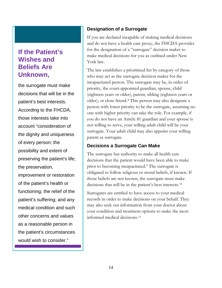## **If the Patient's Wishes and Beliefs Are Unknown,**

the surrogate must make decisions that will be in the patient's best interests. According to the FHCDA, those interests take into account "consideration of the dignity and uniqueness of every person; the possibility and extent of preserving the patient's life; the preservation, improvement or restoration of the patient's health or functioning; the relief of the patient's suffering; and any medical condition and such other concerns and values as a reasonable person in the patient's circumstances would wish to consider."

#### <span id="page-16-0"></span>**Designation of a Surrogate**

If you are declared incapable of making medical decisions and do not have a health care proxy, the FHCDA provides for the designation of a "surrogate" decision maker to make medical decisions for you as outlined under New York law.

The law establishes a prioritized list by category of those who may act as the surrogate decision maker for the incapacitated person. The surrogate may be, in order of priority, the court-appointed guardian, spouse, child (eighteen years or older), parent, sibling (eighteen years or older), or close friend.[8](#page-25-7) This person may also designate a person with lower priority to be the surrogate, assuming no one with higher priority can take the role. For example, if you do not have an Article 81 guardian and your spouse is not willing to serve, your willing adult child will be your surrogate. Your adult child may also appoint your willing parent as surrogate.

#### **Decisions a Surrogate Can Make**

The surrogate has authority to make all health care decisions that the patient would have been able to make prior to becoming incapacitated.[9](#page-25-8) The surrogate is obligated to follow religious or moral beliefs, if known. If those beliefs are not known, the surrogate must make decisions that will be in the patient's best interests.[10](#page-25-9)

Surrogates are entitled to have access to your medical records in order to make decisions on your behalf. They may also seek out information from your doctor about your condition and treatment options to make the most informed medical decisions.<sup>[11](#page-25-10)</sup>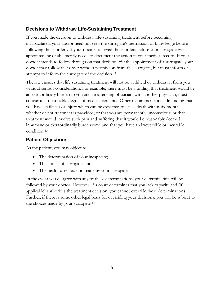#### **Decisions to Withdraw Life-Sustaining Treatment**

If you made the decision to withdraw life-sustaining treatment before becoming incapacitated, your doctor need not seek the surrogate's permission or knowledge before following those orders. If your doctor followed those orders before your surrogate was appointed, he or she merely needs to document the action in your medical record. If your doctor intends to follow through on that decision *after* the appointment of a surrogate, your doctor may follow that order without permission from the surrogate, but must inform or attempt to inform the surrogate of the decision.[12](#page-25-11)

The law ensures that life sustaining treatment will not be withheld or withdrawn from you without serious consideration. For example, there must be a finding that treatment would be an extraordinary burden to you and an attending physician, with another physician, must concur to a reasonable degree of medical certainty. Other requirements include finding that you have an illness or injury which can be expected to cause death within six months, whether or not treatment is provided; or that you are permanently unconscious; or that treatment would involve such pain and suffering that it would be reasonably deemed inhumane or extraordinarily burdensome and that you have an irreversible or incurable condition.[13](#page-25-12)

#### **Patient Objections**

As the patient, you may object to:

- The determination of your incapacity;
- The choice of surrogate; and
- The health care decision made by your surrogate.

In the event you disagree with any of these determinations, your determination will be followed by your doctor. However, if a court determines that you lack capacity and (if applicable) authorizes the treatment decision, you cannot override these determinations. Further, if there is some other legal basis for overriding your decisions, you will be subject to the choices made by your surrogate.[14](#page-25-13)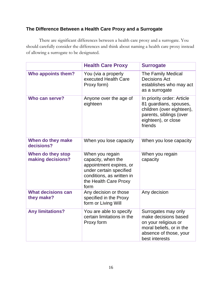#### <span id="page-18-0"></span>**The Difference Between a Health Care Proxy and a Surrogate**

There are significant differences between a health care proxy and a surrogate. You should carefully consider the differences and think about naming a health care proxy instead of allowing a surrogate to be designated.

|                                         | <b>Health Care Proxy</b>                                                                                                                                  | <b>Surrogate</b>                                                                                                                               |
|-----------------------------------------|-----------------------------------------------------------------------------------------------------------------------------------------------------------|------------------------------------------------------------------------------------------------------------------------------------------------|
| Who appoints them?                      | You (via a properly<br>executed Health Care<br>Proxy form)                                                                                                | <b>The Family Medical</b><br><b>Decisions Act</b><br>establishes who may act<br>as a surrogate                                                 |
| Who can serve?                          | Anyone over the age of<br>eighteen                                                                                                                        | In priority order: Article<br>81 guardians, spouses,<br>children (over eighteen),<br>parents, siblings (over<br>eighteen), or close<br>friends |
| When do they make<br>decisions?         | When you lose capacity                                                                                                                                    | When you lose capacity                                                                                                                         |
| When do they stop<br>making decisions?  | When you regain<br>capacity, when the<br>appointment expires, or<br>under certain specified<br>conditions, as written in<br>the Health Care Proxy<br>form | When you regain<br>capacity                                                                                                                    |
| <b>What decisions can</b><br>they make? | Any decision or those<br>specified in the Proxy<br>form or Living Will                                                                                    | Any decision                                                                                                                                   |
| <b>Any limitations?</b>                 | You are able to specify<br>certain limitations in the<br>Proxy form                                                                                       | Surrogates may only<br>make decisions based<br>on your religious or<br>moral beliefs, or in the<br>absence of those, your<br>best interests    |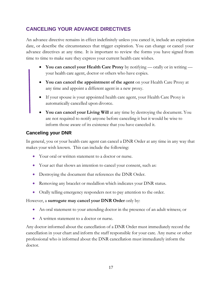#### <span id="page-19-0"></span>**CANCELING YOUR ADVANCE DIRECTIVES**

An advance directive remains in effect indefinitely unless you cancel it, include an expiration date, or describe the circumstances that trigger expiration. You can change or cancel your advance directives at any time. It is important to review the forms you have signed from time to time to make sure they express your current health care wishes.

- **You can cancel your Health Care Proxy** by notifying orally or in writing your health care agent, doctor or others who have copies.
- **You can cancel the appointment of the agent** on your Health Care Proxy at any time and appoint a different agent in a new proxy.
- If your spouse is your appointed health care agent, your Health Care Proxy is automatically cancelled upon divorce.
- **You can cancel your Living Will** at any time by destroying the document. You are not required to notify anyone before canceling it but it would be wise to inform those aware of its existence that you have canceled it.

#### <span id="page-19-1"></span>**Canceling your DNR**

In general, you or your health care agent can cancel a DNR Order at any time in any way that makes your wish known. This can include the following:

- Your oral or written statement to a doctor or nurse.
- Your act that shows an intention to cancel your consent, such as:
- Destroying the document that references the DNR Order.
- Removing any bracelet or medallion which indicates your DNR status.
- Orally telling emergency responders not to pay attention to the order.

#### However, a **surrogate may cancel your DNR Order** only by:

- An oral statement to your attending doctor in the presence of an adult witness; or
- A written statement to a doctor or nurse.

Any doctor informed about the cancellation of a DNR Order must immediately record the cancellation in your chart and inform the staff responsible for your care. Any nurse or other professional who is informed about the DNR cancellation must immediately inform the doctor.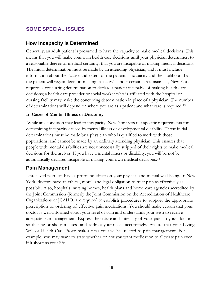#### <span id="page-20-0"></span>**SOME SPECIAL ISSUES**

#### <span id="page-20-1"></span>**How Incapacity is Determined**

Generally, an adult patient is presumed to have the capacity to make medical decisions. This means that you will make your own health care decisions until your physician determines, to a reasonable degree of medical certainty, that you are incapable of making medical decisions. The initial determination must be made by an attending physician, and it must include information about the "cause and extent of the patient's incapacity and the likelihood that the patient will regain decision-making capacity." Under certain circumstances, New York requires a concurring determination to declare a patient incapable of making health care decisions; a health care provider or social worker who is affiliated with the hospital or nursing facility may make the concurring determination in place of a physician. The number of determinations will depend on where you are as a patient and what care is required.[15](#page-25-14)

#### **In Cases of Mental Illness or Disability**

While any condition may lead to incapacity, New York sets out specific requirements for determining incapacity caused by mental illness or developmental disability. Those initial determinations must be made by a physician who is qualified to work with those populations, and cannot be made by an ordinary attending physician. This ensures that people with mental disabilities are not unnecessarily stripped of their rights to make medical decisions for themselves. If you have a mental illness or disability, you will be not be automatically declared incapable of making your own medical decisions.[16](#page-25-15)

#### <span id="page-20-2"></span>**Pain Management**

Unrelieved pain can have a profound effect on your physical and mental well-being. In New York, doctors have an ethical, moral, and legal obligation to treat pain as effectively as possible. Also, hospitals, nursing homes, health plans and home care agencies accredited by the Joint Commission (formerly the Joint Commission on the Accreditation of Healthcare Organizations or JCAHO) are required to establish procedures to support the appropriate prescription or ordering of effective pain medications. You should make certain that your doctor is well-informed about your level of pain and understands your wish to receive adequate pain management. Express the nature and intensity of your pain to your doctor so that he or she can assess and address your needs accordingly. Ensure that your Living Will or Health Care Proxy makes clear your wishes related to pain management. For example, you may want to state whether or not you want medication to alleviate pain even if it shortens your life.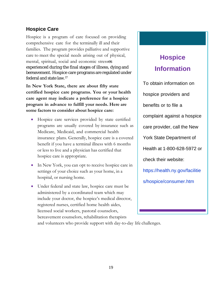#### <span id="page-21-0"></span>**Hospice Care**

Hospice is a program of care focused on providing comprehensive care for the terminally ill and their families. The program provides palliative and supportive care to meet the special needs arising out of physical, mental, spiritual, social and economic stresses experienced during the final stages of illness, dying and bereavement. Hospice care programs are regulated under federal and state law.[17](#page-25-16)

**In New York State, there are about fifty state certified hospice care programs. You or your health care agent may indicate a preference for a hospice program in advance to fulfill your needs. Here are some factors to consider about hospice care:**

- Hospice care services provided by state certified programs are usually covered by insurance such as Medicare, Medicaid, and commercial health insurance plans. Generally, hospice care is a covered benefit if you have a terminal illness with 6 months or less to live and a physician has certified that hospice care is appropriate.
- In New York, you can opt to receive hospice care in settings of your choice such as your home, in a hospital, or nursing home.
- Under federal and state law, hospice care must be administered by a coordinated team which may include your doctor, the hospice's medical director, registered nurses, certified home health aides, licensed social workers, pastoral counselors, bereavement counselors, rehabilitation therapists

## **Hospice Information**

To obtain information on hospice providers and benefits or to file a complaint against a hospice care provider, call the New York State Department of Health at 1-800-628-5972 or check their website: https://health.ny.gov/facilitie s/hospice/consumer.htm

and volunteers who provide support with day-to-day life challenges.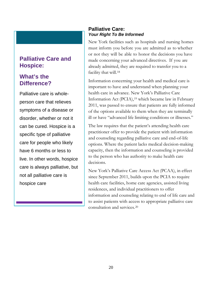#### **Palliative Care and Hospice:**

#### **What's the Difference?**

Palliative care is wholeperson care that relieves symptoms of a disease or disorder, whether or not it can be cured. Hospice is a specific type of palliative care for people who likely have 6 months or less to live. In other words, hospice care is always palliative, but not all palliative care is hospice care

#### <span id="page-22-1"></span><span id="page-22-0"></span>**Palliative Care:**  *Your Right To Be Informed*

New York facilities such as hospitals and nursing homes must inform you before you are admitted as to whether or not they will be able to honor the decisions you have made concerning your advanced directives. If you are already admitted, they are required to transfer you to a facility that will.<sup>[18](#page-25-17)</sup>

Information concerning your health and medical care is important to have and understand when planning your health care in advance. New York's Palliative Care Information Act (PCIA),<sup>[19](#page-25-18)</sup> which became law in February 2011, was passed to ensure that patients are fully informed of the options available to them when they are terminally ill or have "advanced life limiting conditions or illnesses."

The law requires that the patient's attending health care practitioner offer to provide the patient with information and counseling regarding palliative care and end-of-life options. Where the patient lacks medical decision-making capacity, then the information and counseling is provided to the person who has authority to make health care decisions.

New York's Palliative Care Access Act (PCAA), in effect since September 2011, builds upon the PCIA to require health care facilities, home care agencies, assisted living residences, and individual practitioners to offer information and counseling relating to end of life care and to assist patients with access to appropriate palliative care consultation and services.[20](#page-25-19)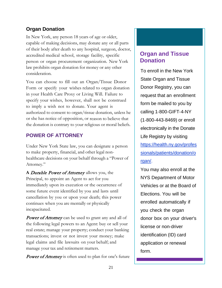#### <span id="page-23-0"></span>**Organ Donation**

In New York, any person 18 years of age or older, capable of making decisions, may donate any or all parts of their body after death to any hospital, surgeon, doctor, accredited medical school, storage facility, specific person or organ procurement organization. New York law prohibits organ donation for money or any other consideration.

You can choose to fill out an Organ/Tissue Donor Form or specify your wishes related to organ donation in your Health Care Proxy or Living Will. Failure to specify your wishes, however, shall not be construed to imply a wish not to donate. Your agent is authorized to consent to organ/tissue donation, unless he or she has notice of opposition, or reason to believe that the donation is contrary to your religious or moral beliefs.

#### <span id="page-23-1"></span>**POWER OF ATTORNEY**

Under New York State law, you can designate a person to make property, financial, and other legal nonhealthcare decisions on your behalf through a "Power of Attorney."

**A** Durable Power of Attorney allows you, the Principal, to appoint an Agent to act for you immediately upon its execution or the occurrence of some future event identified by you and lasts until cancellation by you or upon your death; this power continues when you are mentally or physically incapacitated.

**Power of Attorney** can be used to grant any and all of the following legal powers to an Agent: buy or sell your real estate; manage your property; conduct your banking transactions; invest or not invest your money; make legal claims and file lawsuits on your behalf; and manage your tax and retirement matters.

**Power of Attorney** is often used to plan for one's future

#### **Organ and Tissue Donation**

To enroll in the New York State Organ and Tissue Donor Registry, you can request that an enrollment form be mailed to you by calling 1‐800‐GIFT‐4‐NY (1‐800‐443‐8469) or enroll electronically in the Donate Life Registry by visiting [https://health.ny.gov/profes](http://www.health.state.ny.us/professionals/patients/donation/organ) [sionals/patients/donation/o](http://www.health.state.ny.us/professionals/patients/donation/organ) [rgan/.](http://www.health.state.ny.us/professionals/patients/donation/organ)

You may also enroll at the NYS Department of Motor Vehicles or at the Board of Elections. You will be enrolled automatically if you check the organ donor box on your driver's license or non‐driver identification (ID) card application or renewal form.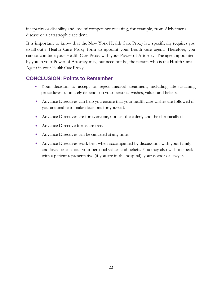incapacity or disability and loss of competence resulting, for example, from Alzheimer's disease or a catastrophic accident.

It is important to know that the New York Health Care Proxy law specifically requires you to fill out a Health Care Proxy form to appoint your health care agent. Therefore, you cannot combine your Health Care Proxy with your Power of Attorney. The agent appointed by you in your Power of Attorney may, but need not be, the person who is the Health Care Agent in your Health Care Proxy.

#### <span id="page-24-0"></span>**CONCLUSION: Points to Remember**

- Your decision to accept or reject medical treatment, including life-sustaining procedures, ultimately depends on your personal wishes, values and beliefs.
- Advance Directives can help you ensure that your health care wishes are followed if you are unable to make decisions for yourself.
- Advance Directives are for everyone, not just the elderly and the chronically ill.
- Advance Directive forms are free.
- Advance Directives can be canceled at any time.
- Advance Directives work best when accompanied by discussions with your family and loved ones about your personal values and beliefs. You may also wish to speak with a patient representative (if you are in the hospital), your doctor or lawyer.